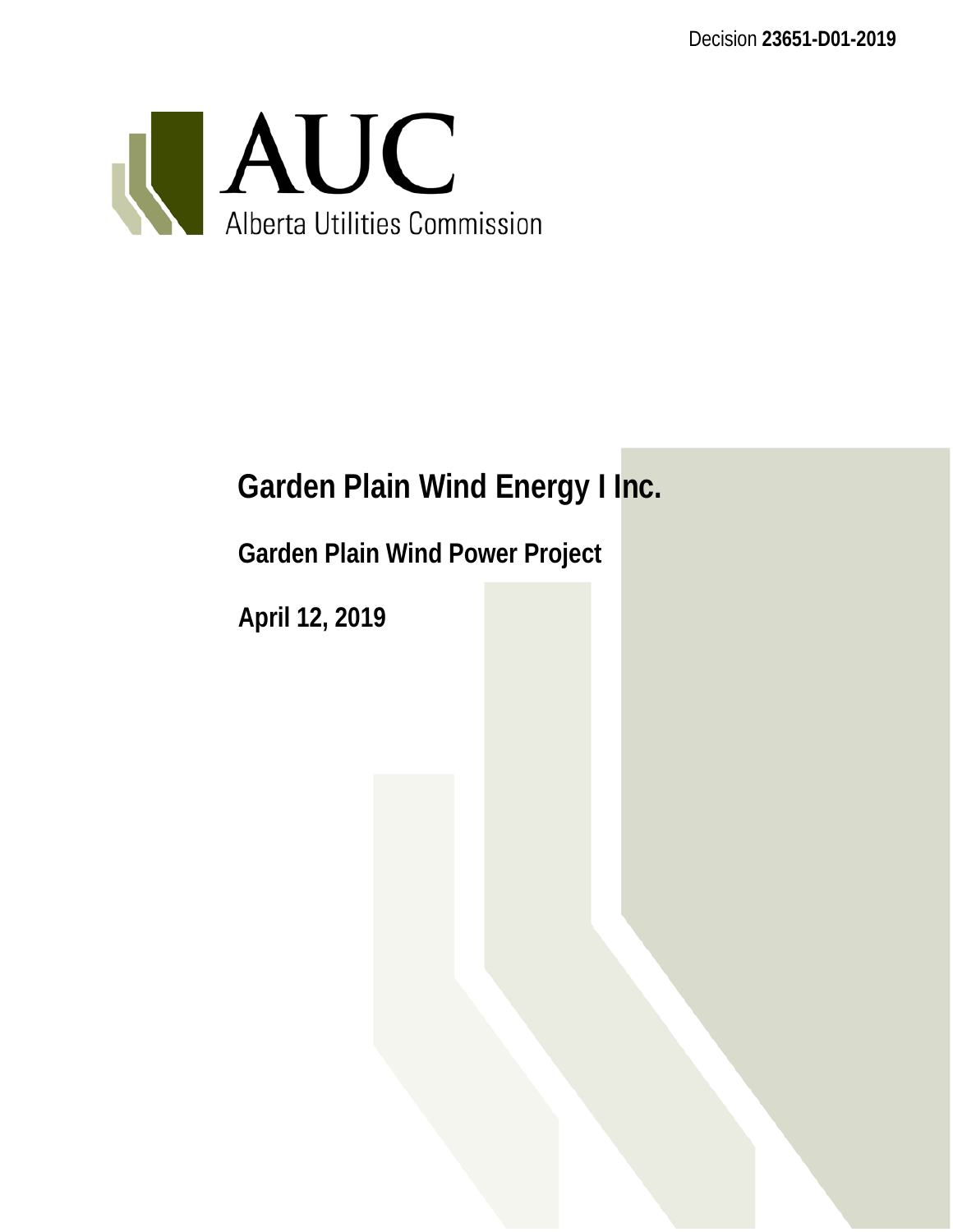Decision **23651-D01-2019**



# **Garden Plain Wind Energy I Inc.**

**Garden Plain Wind Power Project**

**April 12, 2019**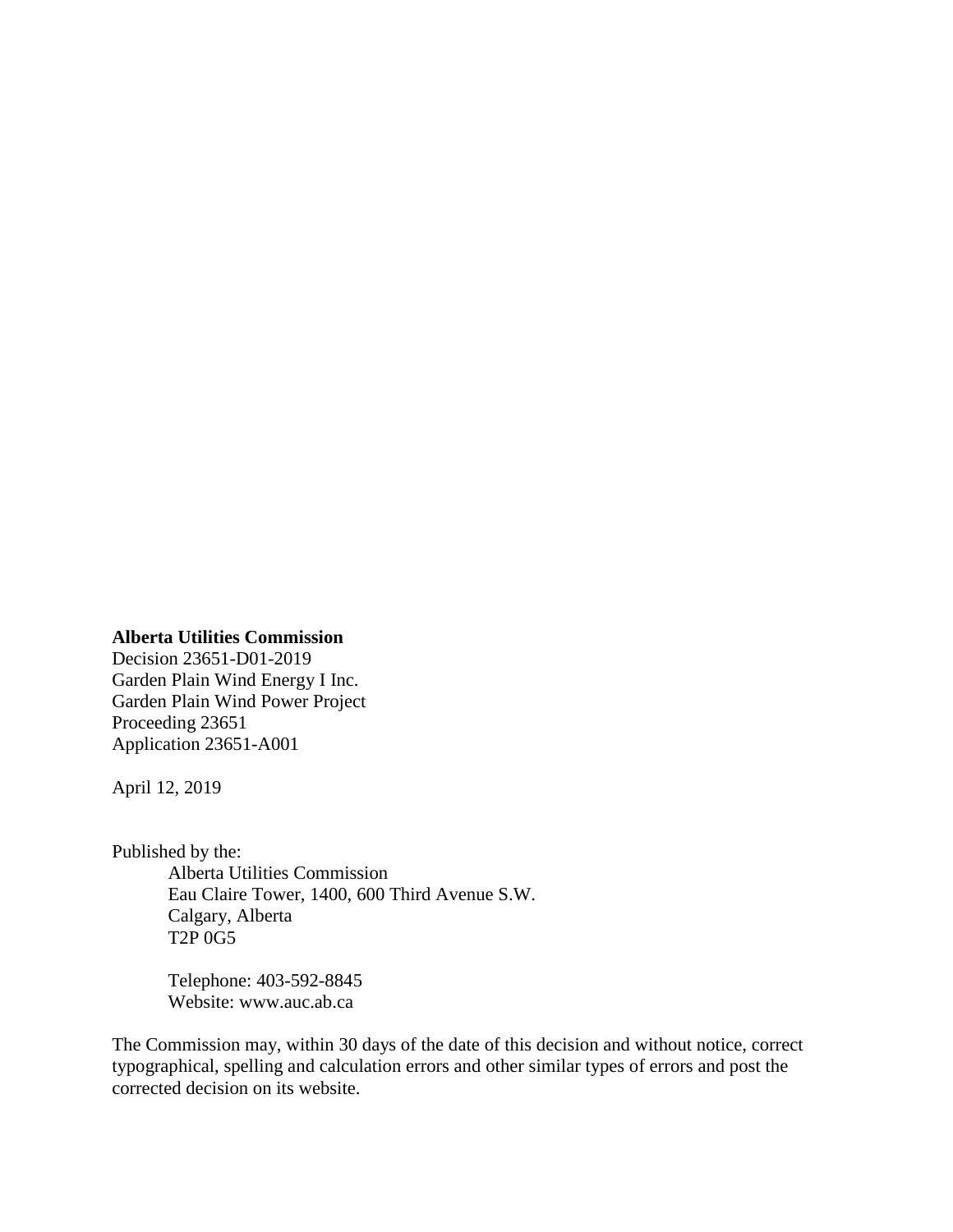#### **Alberta Utilities Commission**

Decision 23651-D01-2019 Garden Plain Wind Energy I Inc. Garden Plain Wind Power Project Proceeding 23651 Application 23651-A001

April 12, 2019

Published by the: Alberta Utilities Commission Eau Claire Tower, 1400, 600 Third Avenue S.W. Calgary, Alberta T2P 0G5

> Telephone: 403-592-8845 Website: www.auc.ab.ca

The Commission may, within 30 days of the date of this decision and without notice, correct typographical, spelling and calculation errors and other similar types of errors and post the corrected decision on its website.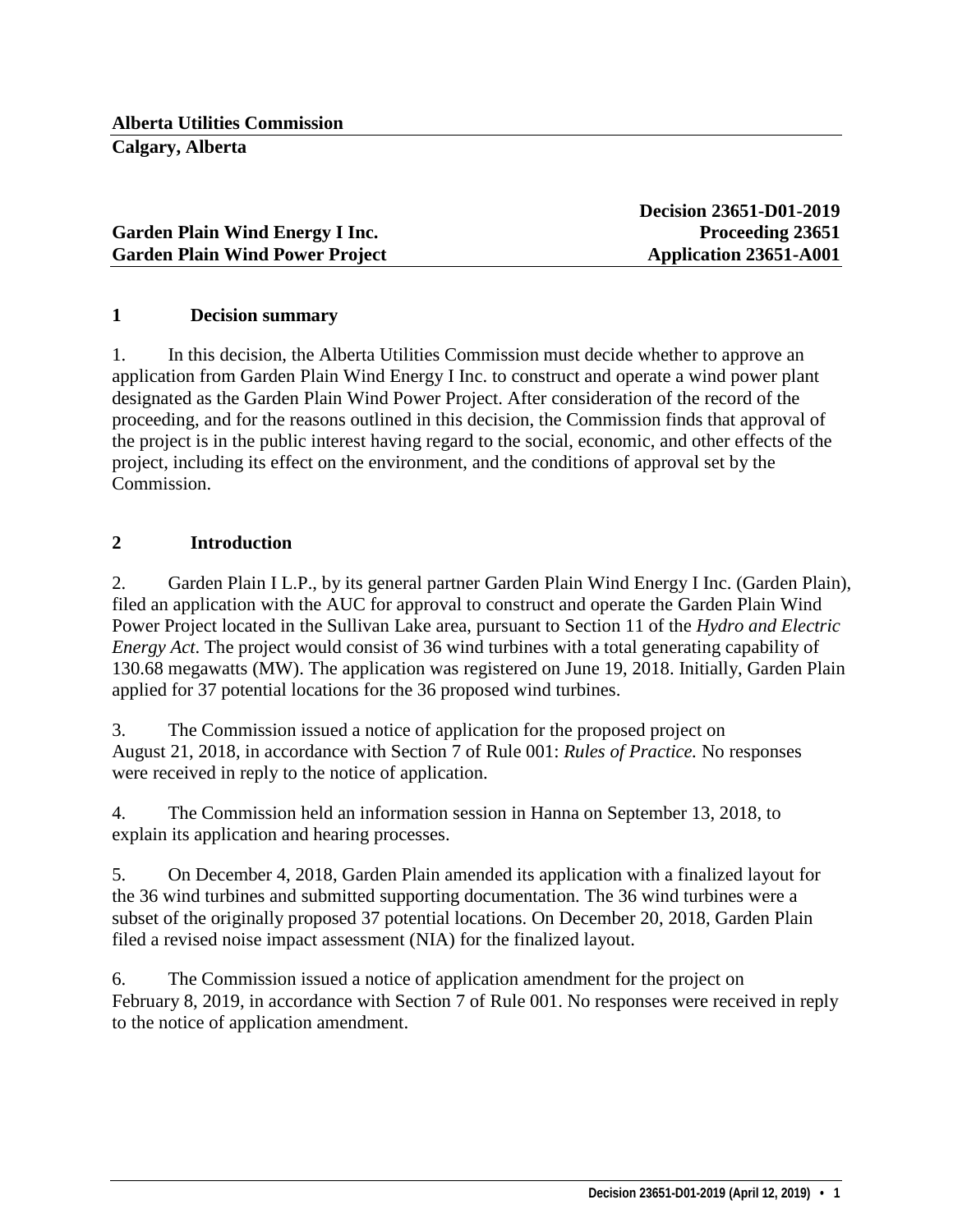|                                        | <b>Decision 23651-D01-2019</b> |
|----------------------------------------|--------------------------------|
| <b>Garden Plain Wind Energy I Inc.</b> | Proceeding 23651               |
| <b>Garden Plain Wind Power Project</b> | Application 23651-A001         |

### **1 Decision summary**

1. In this decision, the Alberta Utilities Commission must decide whether to approve an application from Garden Plain Wind Energy I Inc. to construct and operate a wind power plant designated as the Garden Plain Wind Power Project. After consideration of the record of the proceeding, and for the reasons outlined in this decision, the Commission finds that approval of the project is in the public interest having regard to the social, economic, and other effects of the project, including its effect on the environment, and the conditions of approval set by the Commission.

# **2 Introduction**

2. Garden Plain I L.P., by its general partner Garden Plain Wind Energy I Inc. (Garden Plain), filed an application with the AUC for approval to construct and operate the Garden Plain Wind Power Project located in the Sullivan Lake area, pursuant to Section 11 of the *Hydro and Electric Energy Act*. The project would consist of 36 wind turbines with a total generating capability of 130.68 megawatts (MW). The application was registered on June 19, 2018. Initially, Garden Plain applied for 37 potential locations for the 36 proposed wind turbines.

3. The Commission issued a notice of application for the proposed project on August 21, 2018, in accordance with Section 7 of Rule 001: *Rules of Practice.* No responses were received in reply to the notice of application.

4. The Commission held an information session in Hanna on September 13, 2018, to explain its application and hearing processes.

5. On December 4, 2018, Garden Plain amended its application with a finalized layout for the 36 wind turbines and submitted supporting documentation. The 36 wind turbines were a subset of the originally proposed 37 potential locations. On December 20, 2018, Garden Plain filed a revised noise impact assessment (NIA) for the finalized layout.

6. The Commission issued a notice of application amendment for the project on February 8, 2019, in accordance with Section 7 of Rule 001. No responses were received in reply to the notice of application amendment.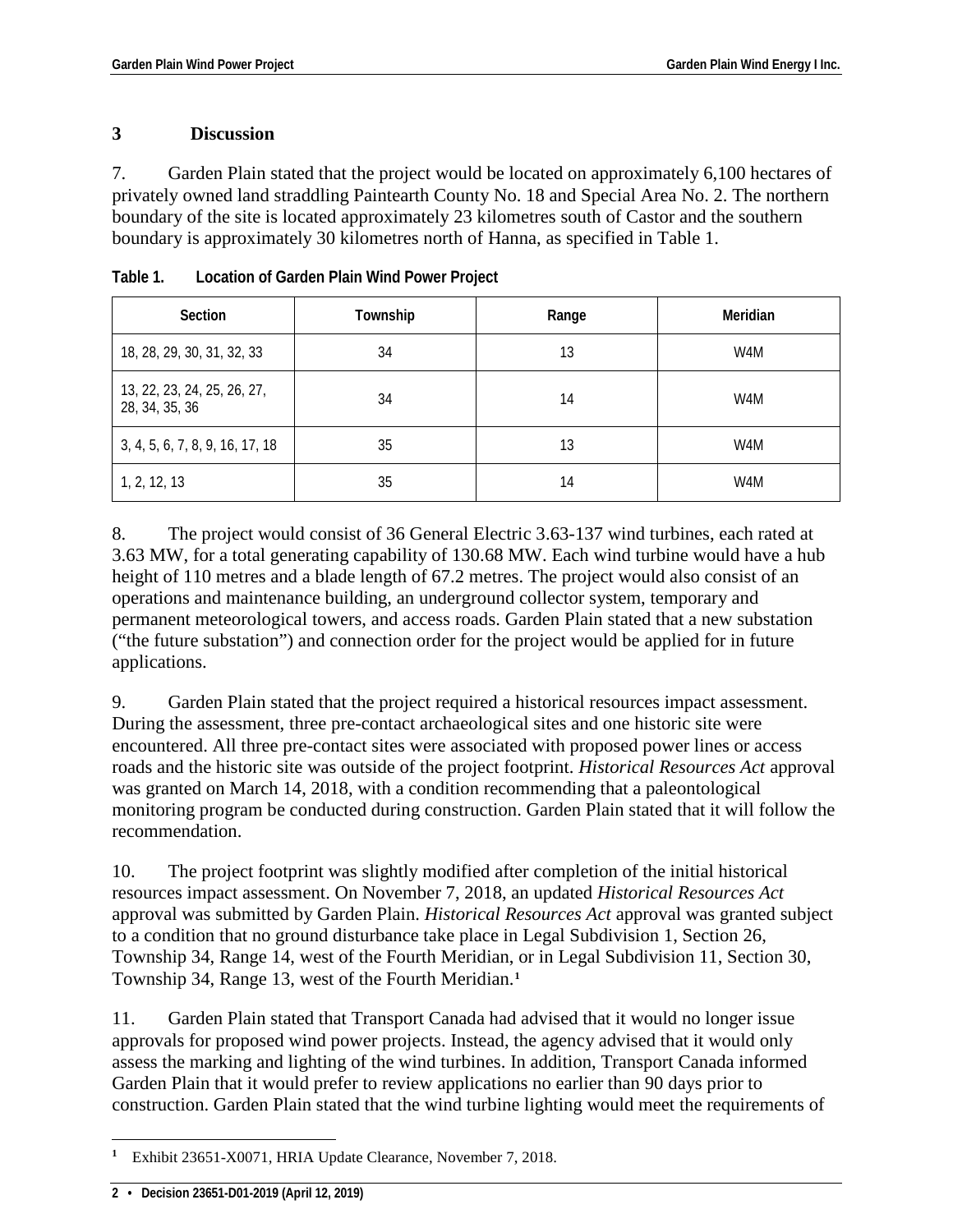### **3 Discussion**

7. Garden Plain stated that the project would be located on approximately 6,100 hectares of privately owned land straddling Paintearth County No. 18 and Special Area No. 2. The northern boundary of the site is located approximately 23 kilometres south of Castor and the southern boundary is approximately 30 kilometres north of Hanna, as specified in Table 1.

| <b>Section</b>                                | Township | Range | Meridian |
|-----------------------------------------------|----------|-------|----------|
| 18, 28, 29, 30, 31, 32, 33                    | 34       | 13    | W4M      |
| 13, 22, 23, 24, 25, 26, 27,<br>28, 34, 35, 36 | 34       | 14    | W4M      |
| 3, 4, 5, 6, 7, 8, 9, 16, 17, 18               | 35       | 13    | W4M      |
| 1, 2, 12, 13                                  | 35       | 14    | W4M      |

**Table 1. Location of Garden Plain Wind Power Project**

8. The project would consist of 36 General Electric 3.63-137 wind turbines, each rated at 3.63 MW, for a total generating capability of 130.68 MW. Each wind turbine would have a hub height of 110 metres and a blade length of 67.2 metres. The project would also consist of an operations and maintenance building, an underground collector system, temporary and permanent meteorological towers, and access roads. Garden Plain stated that a new substation ("the future substation") and connection order for the project would be applied for in future applications.

9. Garden Plain stated that the project required a historical resources impact assessment. During the assessment, three pre-contact archaeological sites and one historic site were encountered. All three pre-contact sites were associated with proposed power lines or access roads and the historic site was outside of the project footprint. *Historical Resources Act* approval was granted on March 14, 2018, with a condition recommending that a paleontological monitoring program be conducted during construction. Garden Plain stated that it will follow the recommendation.

10. The project footprint was slightly modified after completion of the initial historical resources impact assessment. On November 7, 2018, an updated *Historical Resources Act* approval was submitted by Garden Plain. *Historical Resources Act* approval was granted subject to a condition that no ground disturbance take place in Legal Subdivision 1, Section 26, Township 34, Range 14, west of the Fourth Meridian, or in Legal Subdivision 11, Section 30, Township 34, Range 13, west of the Fourth Meridian.**[1](#page-3-0)**

11. Garden Plain stated that Transport Canada had advised that it would no longer issue approvals for proposed wind power projects. Instead, the agency advised that it would only assess the marking and lighting of the wind turbines. In addition, Transport Canada informed Garden Plain that it would prefer to review applications no earlier than 90 days prior to construction. Garden Plain stated that the wind turbine lighting would meet the requirements of

<span id="page-3-0"></span> $\overline{a}$ **<sup>1</sup>** Exhibit 23651-X0071, HRIA Update Clearance, November 7, 2018.

**<sup>2 •</sup> Decision 23651-D01-2019 (April 12, 2019)**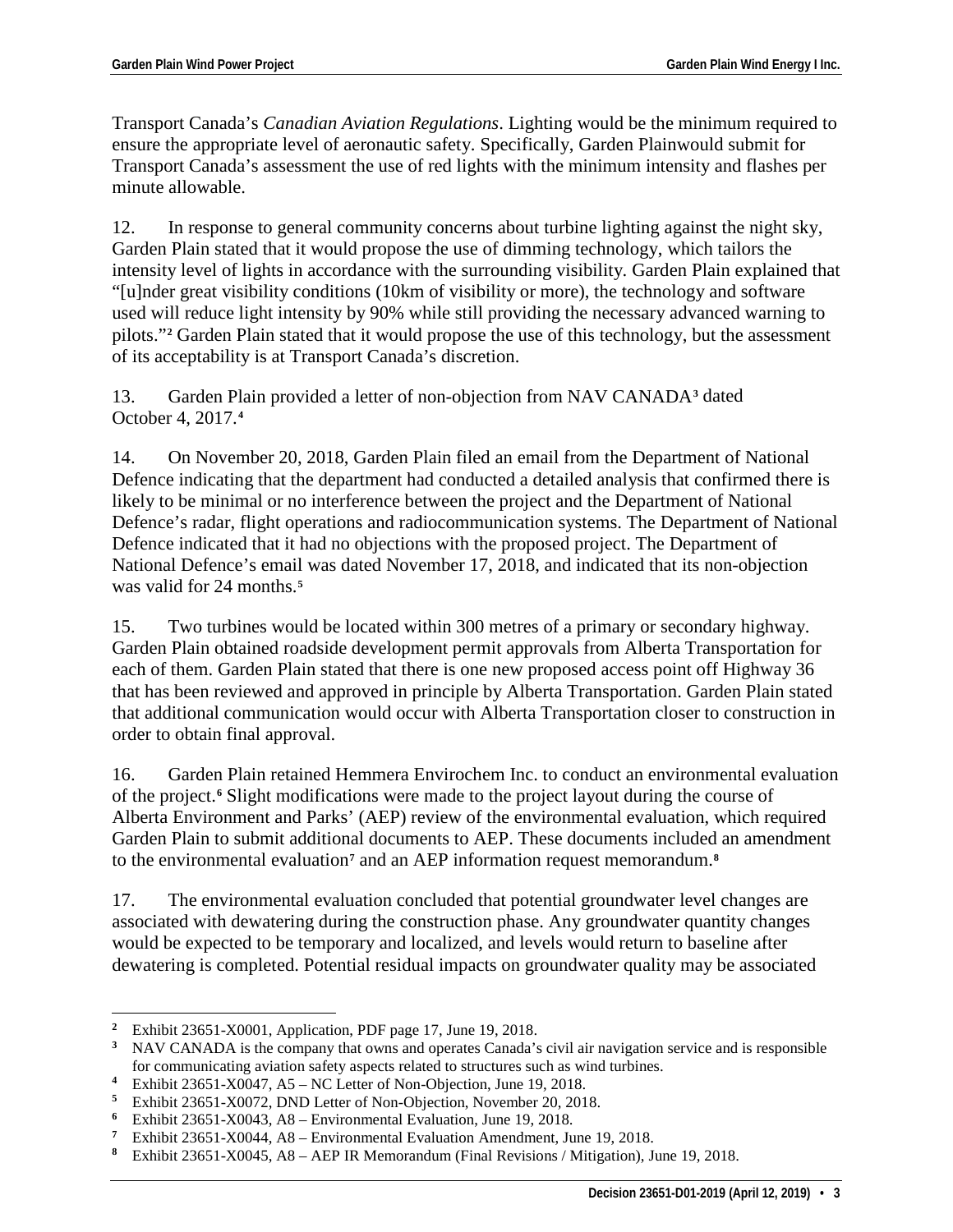Transport Canada's *Canadian Aviation Regulations*. Lighting would be the minimum required to ensure the appropriate level of aeronautic safety. Specifically, Garden Plainwould submit for Transport Canada's assessment the use of red lights with the minimum intensity and flashes per minute allowable.

12. In response to general community concerns about turbine lighting against the night sky, Garden Plain stated that it would propose the use of dimming technology, which tailors the intensity level of lights in accordance with the surrounding visibility. Garden Plain explained that "[u]nder great visibility conditions (10km of visibility or more), the technology and software used will reduce light intensity by 90% while still providing the necessary advanced warning to pilots."**[2](#page-4-0)** Garden Plain stated that it would propose the use of this technology, but the assessment of its acceptability is at Transport Canada's discretion.

13. Garden Plain provided a letter of non-objection from NAV CANADA**[3](#page-4-1)** dated October 4, 2017.**[4](#page-4-2)**

14. On November 20, 2018, Garden Plain filed an email from the Department of National Defence indicating that the department had conducted a detailed analysis that confirmed there is likely to be minimal or no interference between the project and the Department of National Defence's radar, flight operations and radiocommunication systems. The Department of National Defence indicated that it had no objections with the proposed project. The Department of National Defence's email was dated November 17, 2018, and indicated that its non-objection was valid for 24 months.**[5](#page-4-3)**

15. Two turbines would be located within 300 metres of a primary or secondary highway. Garden Plain obtained roadside development permit approvals from Alberta Transportation for each of them. Garden Plain stated that there is one new proposed access point off Highway 36 that has been reviewed and approved in principle by Alberta Transportation. Garden Plain stated that additional communication would occur with Alberta Transportation closer to construction in order to obtain final approval.

16. Garden Plain retained Hemmera Envirochem Inc. to conduct an environmental evaluation of the project.**[6](#page-4-4)** Slight modifications were made to the project layout during the course of Alberta Environment and Parks' (AEP) review of the environmental evaluation, which required Garden Plain to submit additional documents to AEP. These documents included an amendment to the environmental evaluation**[7](#page-4-5)** and an AEP information request memorandum.**[8](#page-4-6)**

17. The environmental evaluation concluded that potential groundwater level changes are associated with dewatering during the construction phase. Any groundwater quantity changes would be expected to be temporary and localized, and levels would return to baseline after dewatering is completed. Potential residual impacts on groundwater quality may be associated

<span id="page-4-0"></span> $\overline{\mathbf{2}}$ <sup>2</sup> Exhibit 23651-X0001, Application, PDF page 17, June 19, 2018.<br><sup>3</sup> NAV CANADA is the company that owns and operates Canada's

<span id="page-4-1"></span>**<sup>3</sup>** NAV CANADA is the company that owns and operates Canada's civil air navigation service and is responsible for communicating aviation safety aspects related to structures such as wind turbines.

<span id="page-4-2"></span>**<sup>4</sup>** Exhibit 23651-X0047, A5 – NC Letter of Non-Objection, June 19, 2018.<br>**5** Exhibit 23651-X0072, DND Letter of Non-Objection, November 20, 201

<span id="page-4-3"></span><sup>&</sup>lt;sup>5</sup> Exhibit 23651-X0072, DND Letter of Non-Objection, November 20, 2018.<br><sup>6</sup> Exhibit 23651-X0043, A8 – Environmental Evaluation, June 19, 2018

<span id="page-4-4"></span><sup>&</sup>lt;sup>6</sup> Exhibit 23651-X0043, A8 – Environmental Evaluation, June 19, 2018.<br><sup>7</sup> Exhibit 23651 Y0044, A8 – Environmental Evaluation Amendment, Inc.

<span id="page-4-6"></span><span id="page-4-5"></span>**<sup>7</sup>** Exhibit 23651-X0044, A8 – Environmental Evaluation Amendment, June 19, 2018.<br>**8** Exhibit 23651 Y0045, A8 – AED IP Momorondum (Final Povisions / Mitigation). In

**<sup>8</sup>** Exhibit 23651-X0045, A8 – AEP IR Memorandum (Final Revisions / Mitigation), June 19, 2018.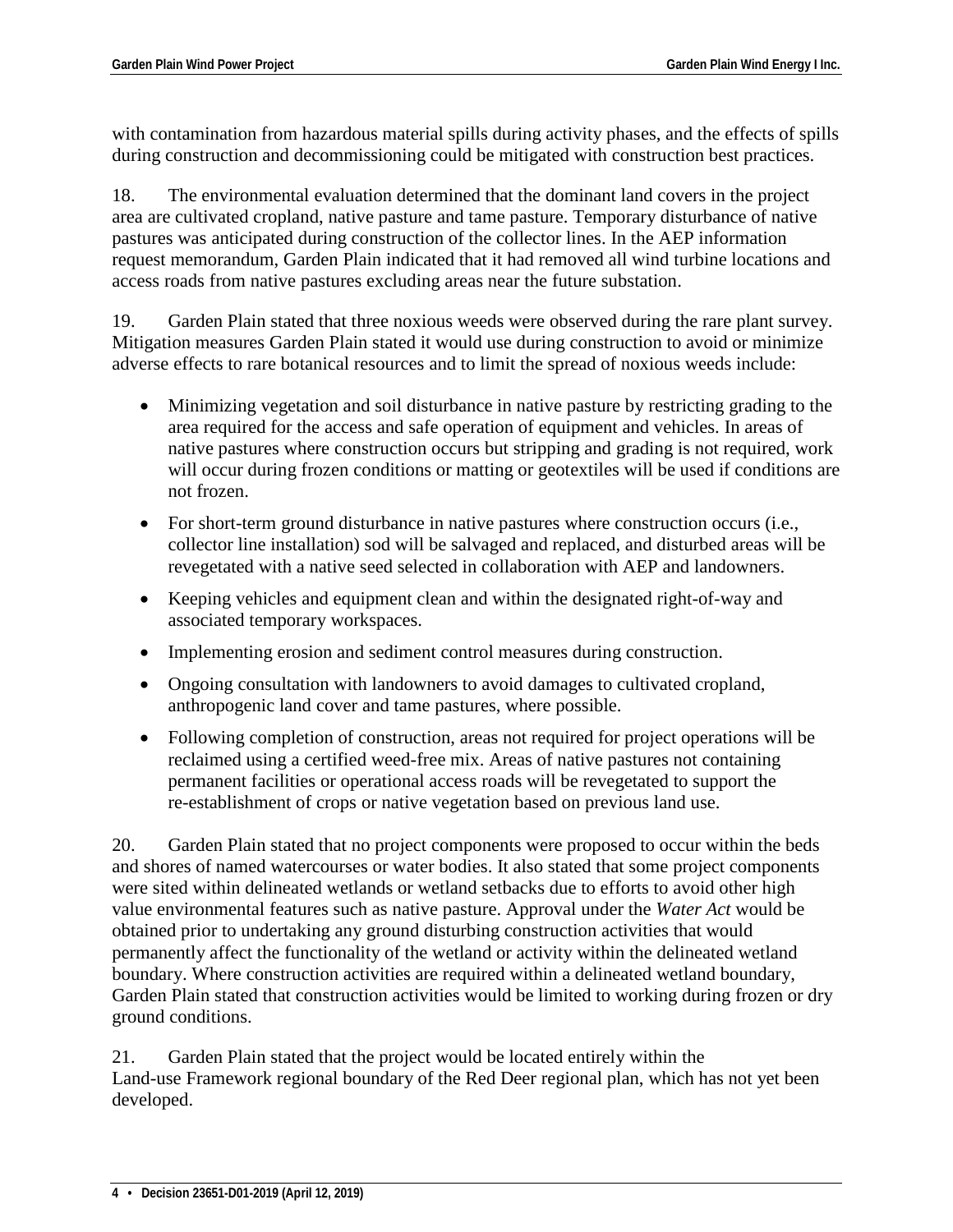with contamination from hazardous material spills during activity phases, and the effects of spills during construction and decommissioning could be mitigated with construction best practices.

18. The environmental evaluation determined that the dominant land covers in the project area are cultivated cropland, native pasture and tame pasture. Temporary disturbance of native pastures was anticipated during construction of the collector lines. In the AEP information request memorandum, Garden Plain indicated that it had removed all wind turbine locations and access roads from native pastures excluding areas near the future substation.

19. Garden Plain stated that three noxious weeds were observed during the rare plant survey. Mitigation measures Garden Plain stated it would use during construction to avoid or minimize adverse effects to rare botanical resources and to limit the spread of noxious weeds include:

- Minimizing vegetation and soil disturbance in native pasture by restricting grading to the area required for the access and safe operation of equipment and vehicles. In areas of native pastures where construction occurs but stripping and grading is not required, work will occur during frozen conditions or matting or geotextiles will be used if conditions are not frozen.
- For short-term ground disturbance in native pastures where construction occurs (i.e., collector line installation) sod will be salvaged and replaced, and disturbed areas will be revegetated with a native seed selected in collaboration with AEP and landowners.
- Keeping vehicles and equipment clean and within the designated right-of-way and associated temporary workspaces.
- Implementing erosion and sediment control measures during construction.
- Ongoing consultation with landowners to avoid damages to cultivated cropland, anthropogenic land cover and tame pastures, where possible.
- Following completion of construction, areas not required for project operations will be reclaimed using a certified weed-free mix. Areas of native pastures not containing permanent facilities or operational access roads will be revegetated to support the re-establishment of crops or native vegetation based on previous land use.

20. Garden Plain stated that no project components were proposed to occur within the beds and shores of named watercourses or water bodies. It also stated that some project components were sited within delineated wetlands or wetland setbacks due to efforts to avoid other high value environmental features such as native pasture. Approval under the *Water Act* would be obtained prior to undertaking any ground disturbing construction activities that would permanently affect the functionality of the wetland or activity within the delineated wetland boundary. Where construction activities are required within a delineated wetland boundary, Garden Plain stated that construction activities would be limited to working during frozen or dry ground conditions.

21. Garden Plain stated that the project would be located entirely within the Land-use Framework regional boundary of the Red Deer regional plan, which has not yet been developed.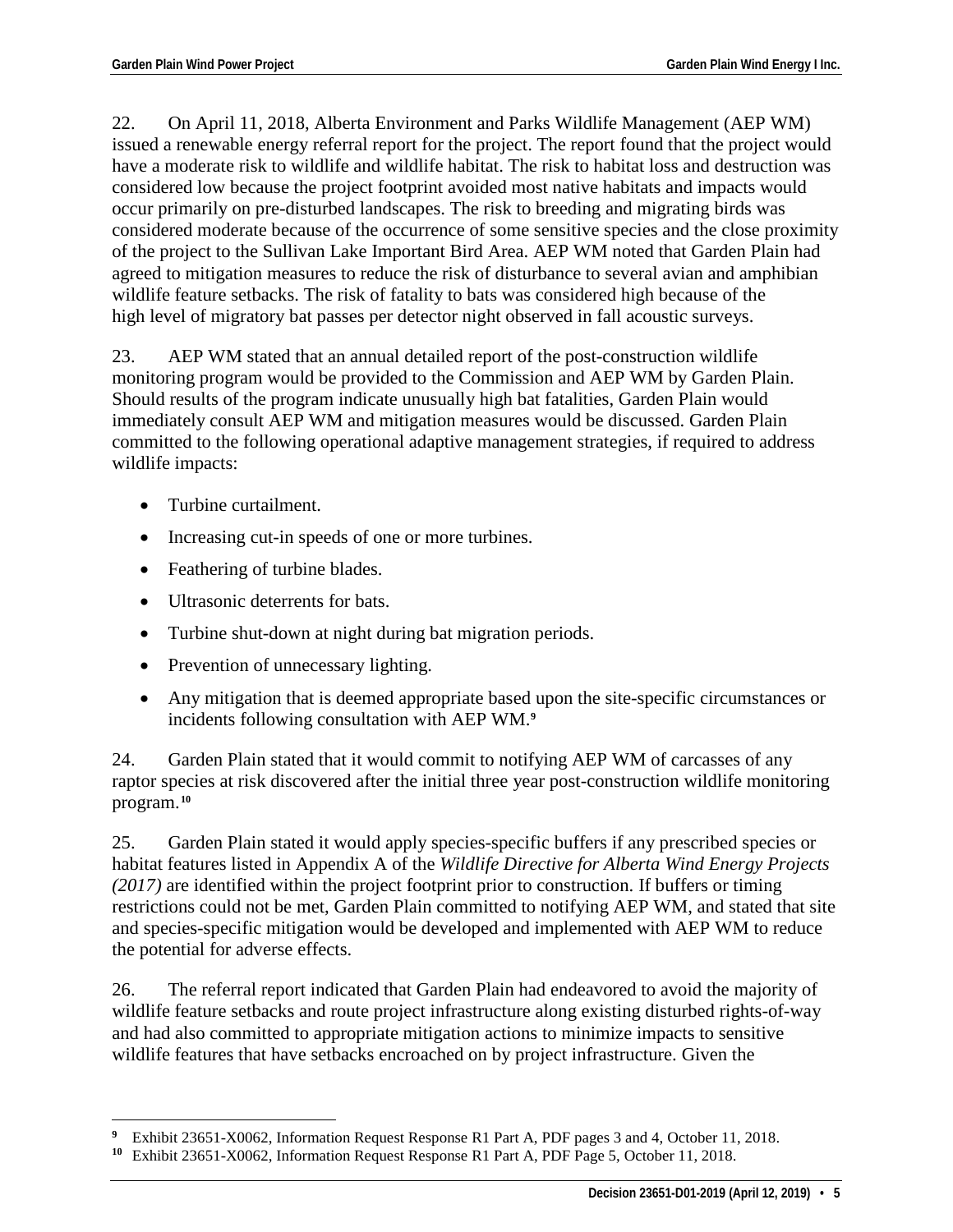22. On April 11, 2018, Alberta Environment and Parks Wildlife Management (AEP WM) issued a renewable energy referral report for the project. The report found that the project would have a moderate risk to wildlife and wildlife habitat. The risk to habitat loss and destruction was considered low because the project footprint avoided most native habitats and impacts would occur primarily on pre-disturbed landscapes. The risk to breeding and migrating birds was considered moderate because of the occurrence of some sensitive species and the close proximity of the project to the Sullivan Lake Important Bird Area. AEP WM noted that Garden Plain had agreed to mitigation measures to reduce the risk of disturbance to several avian and amphibian wildlife feature setbacks. The risk of fatality to bats was considered high because of the high level of migratory bat passes per detector night observed in fall acoustic surveys.

23. AEP WM stated that an annual detailed report of the post-construction wildlife monitoring program would be provided to the Commission and AEP WM by Garden Plain. Should results of the program indicate unusually high bat fatalities, Garden Plain would immediately consult AEP WM and mitigation measures would be discussed. Garden Plain committed to the following operational adaptive management strategies, if required to address wildlife impacts:

- Turbine curtailment.
- Increasing cut-in speeds of one or more turbines.
- Feathering of turbine blades.
- Ultrasonic deterrents for bats.
- Turbine shut-down at night during bat migration periods.
- Prevention of unnecessary lighting.
- Any mitigation that is deemed appropriate based upon the site-specific circumstances or incidents following consultation with AEP WM.**[9](#page-6-0)**

24. Garden Plain stated that it would commit to notifying AEP WM of carcasses of any raptor species at risk discovered after the initial three year post-construction wildlife monitoring program.**[10](#page-6-1)**

25. Garden Plain stated it would apply species-specific buffers if any prescribed species or habitat features listed in Appendix A of the *Wildlife Directive for Alberta Wind Energy Projects (2017)* are identified within the project footprint prior to construction. If buffers or timing restrictions could not be met, Garden Plain committed to notifying AEP WM, and stated that site and species-specific mitigation would be developed and implemented with AEP WM to reduce the potential for adverse effects.

26. The referral report indicated that Garden Plain had endeavored to avoid the majority of wildlife feature setbacks and route project infrastructure along existing disturbed rights-of-way and had also committed to appropriate mitigation actions to minimize impacts to sensitive wildlife features that have setbacks encroached on by project infrastructure. Given the

 $\overline{a}$ **<sup>9</sup>** Exhibit 23651-X0062, Information Request Response R1 Part A, PDF pages 3 and 4, October 11, 2018.

<span id="page-6-1"></span><span id="page-6-0"></span>**<sup>10</sup>** Exhibit 23651-X0062, Information Request Response R1 Part A, PDF Page 5, October 11, 2018.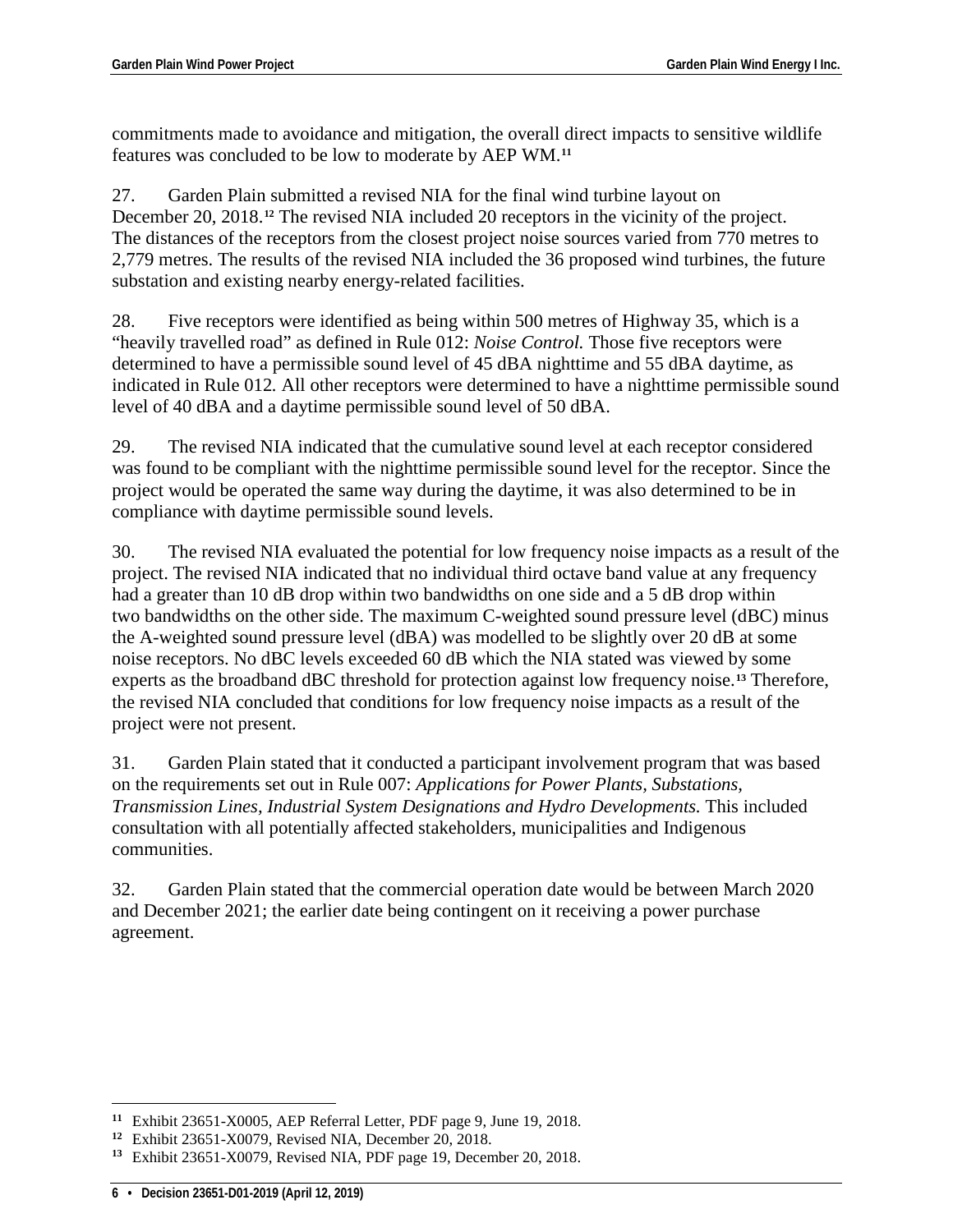commitments made to avoidance and mitigation, the overall direct impacts to sensitive wildlife features was concluded to be low to moderate by AEP WM.**[11](#page-7-0)**

27. Garden Plain submitted a revised NIA for the final wind turbine layout on December 20, 2018.**[12](#page-7-1)** The revised NIA included 20 receptors in the vicinity of the project. The distances of the receptors from the closest project noise sources varied from 770 metres to 2,779 metres. The results of the revised NIA included the 36 proposed wind turbines, the future substation and existing nearby energy-related facilities.

28. Five receptors were identified as being within 500 metres of Highway 35, which is a "heavily travelled road" as defined in Rule 012: *Noise Control.* Those five receptors were determined to have a permissible sound level of 45 dBA nighttime and 55 dBA daytime, as indicated in Rule 012*.* All other receptors were determined to have a nighttime permissible sound level of 40 dBA and a daytime permissible sound level of 50 dBA.

29. The revised NIA indicated that the cumulative sound level at each receptor considered was found to be compliant with the nighttime permissible sound level for the receptor. Since the project would be operated the same way during the daytime, it was also determined to be in compliance with daytime permissible sound levels.

30. The revised NIA evaluated the potential for low frequency noise impacts as a result of the project. The revised NIA indicated that no individual third octave band value at any frequency had a greater than 10 dB drop within two bandwidths on one side and a 5 dB drop within two bandwidths on the other side. The maximum C-weighted sound pressure level (dBC) minus the A-weighted sound pressure level (dBA) was modelled to be slightly over 20 dB at some noise receptors. No dBC levels exceeded 60 dB which the NIA stated was viewed by some experts as the broadband dBC threshold for protection against low frequency noise.**[13](#page-7-2)** Therefore, the revised NIA concluded that conditions for low frequency noise impacts as a result of the project were not present.

31. Garden Plain stated that it conducted a participant involvement program that was based on the requirements set out in Rule 007: *Applications for Power Plants, Substations, Transmission Lines, Industrial System Designations and Hydro Developments.* This included consultation with all potentially affected stakeholders, municipalities and Indigenous communities.

32. Garden Plain stated that the commercial operation date would be between March 2020 and December 2021; the earlier date being contingent on it receiving a power purchase agreement.

 $\overline{a}$ 

<span id="page-7-0"></span>**<sup>11</sup>** Exhibit 23651-X0005, AEP Referral Letter, PDF page 9, June 19, 2018.

<span id="page-7-1"></span>**<sup>12</sup>** Exhibit 23651-X0079, Revised NIA, December 20, 2018.

<span id="page-7-2"></span>**<sup>13</sup>** Exhibit 23651-X0079, Revised NIA, PDF page 19, December 20, 2018.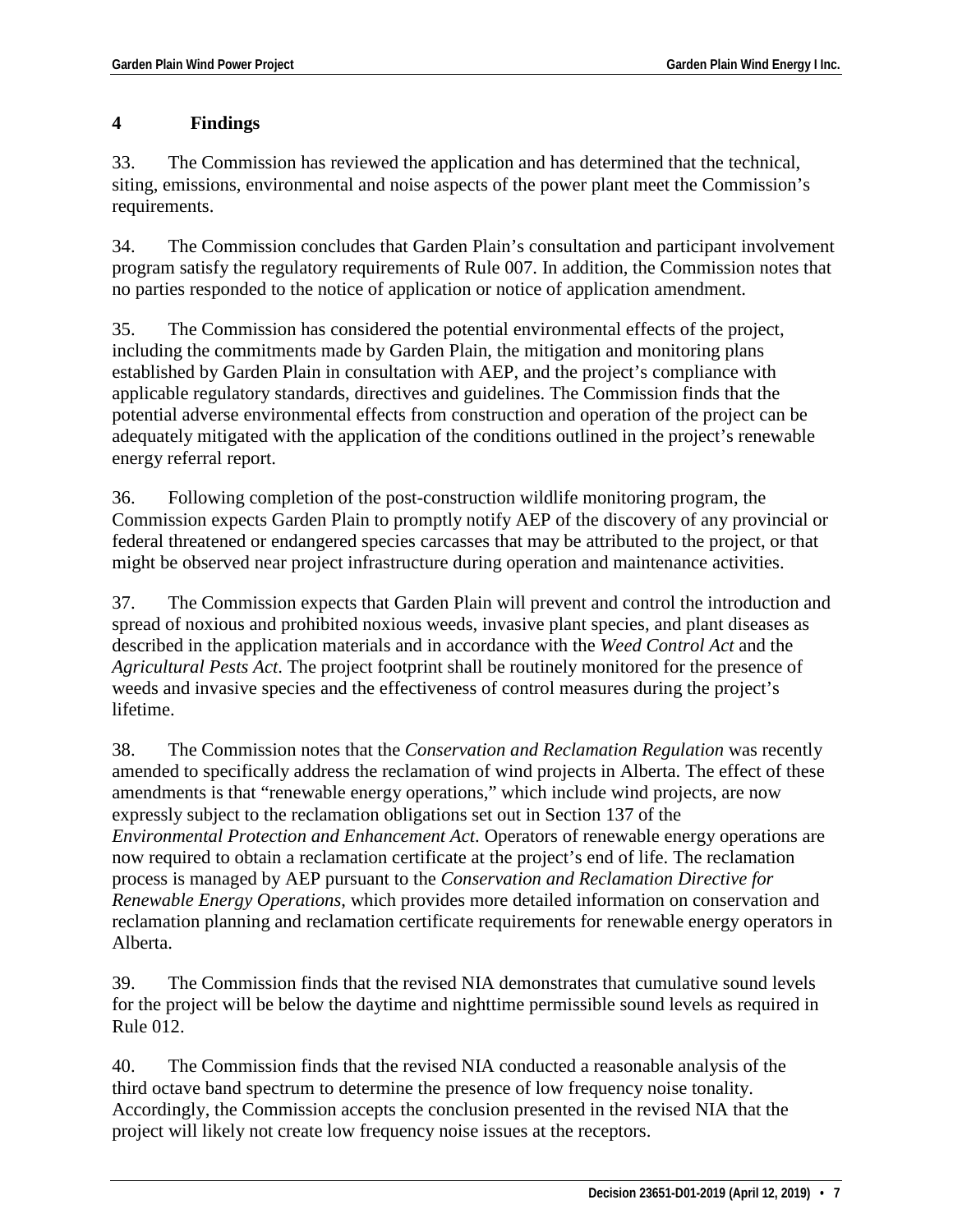# **4 Findings**

33. The Commission has reviewed the application and has determined that the technical, siting, emissions, environmental and noise aspects of the power plant meet the Commission's requirements.

34. The Commission concludes that Garden Plain's consultation and participant involvement program satisfy the regulatory requirements of Rule 007. In addition, the Commission notes that no parties responded to the notice of application or notice of application amendment.

35. The Commission has considered the potential environmental effects of the project, including the commitments made by Garden Plain, the mitigation and monitoring plans established by Garden Plain in consultation with AEP, and the project's compliance with applicable regulatory standards, directives and guidelines. The Commission finds that the potential adverse environmental effects from construction and operation of the project can be adequately mitigated with the application of the conditions outlined in the project's renewable energy referral report.

36. Following completion of the post-construction wildlife monitoring program, the Commission expects Garden Plain to promptly notify AEP of the discovery of any provincial or federal threatened or endangered species carcasses that may be attributed to the project, or that might be observed near project infrastructure during operation and maintenance activities.

37. The Commission expects that Garden Plain will prevent and control the introduction and spread of noxious and prohibited noxious weeds, invasive plant species, and plant diseases as described in the application materials and in accordance with the *Weed Control Act* and the *Agricultural Pests Act*. The project footprint shall be routinely monitored for the presence of weeds and invasive species and the effectiveness of control measures during the project's lifetime.

38. The Commission notes that the *Conservation and Reclamation Regulation* was recently amended to specifically address the reclamation of wind projects in Alberta. The effect of these amendments is that "renewable energy operations," which include wind projects, are now expressly subject to the reclamation obligations set out in Section 137 of the *Environmental Protection and Enhancement Act*. Operators of renewable energy operations are now required to obtain a reclamation certificate at the project's end of life. The reclamation process is managed by AEP pursuant to the *Conservation and Reclamation Directive for Renewable Energy Operations*, which provides more detailed information on conservation and reclamation planning and reclamation certificate requirements for renewable energy operators in Alberta.

39. The Commission finds that the revised NIA demonstrates that cumulative sound levels for the project will be below the daytime and nighttime permissible sound levels as required in Rule 012.

40. The Commission finds that the revised NIA conducted a reasonable analysis of the third octave band spectrum to determine the presence of low frequency noise tonality. Accordingly, the Commission accepts the conclusion presented in the revised NIA that the project will likely not create low frequency noise issues at the receptors.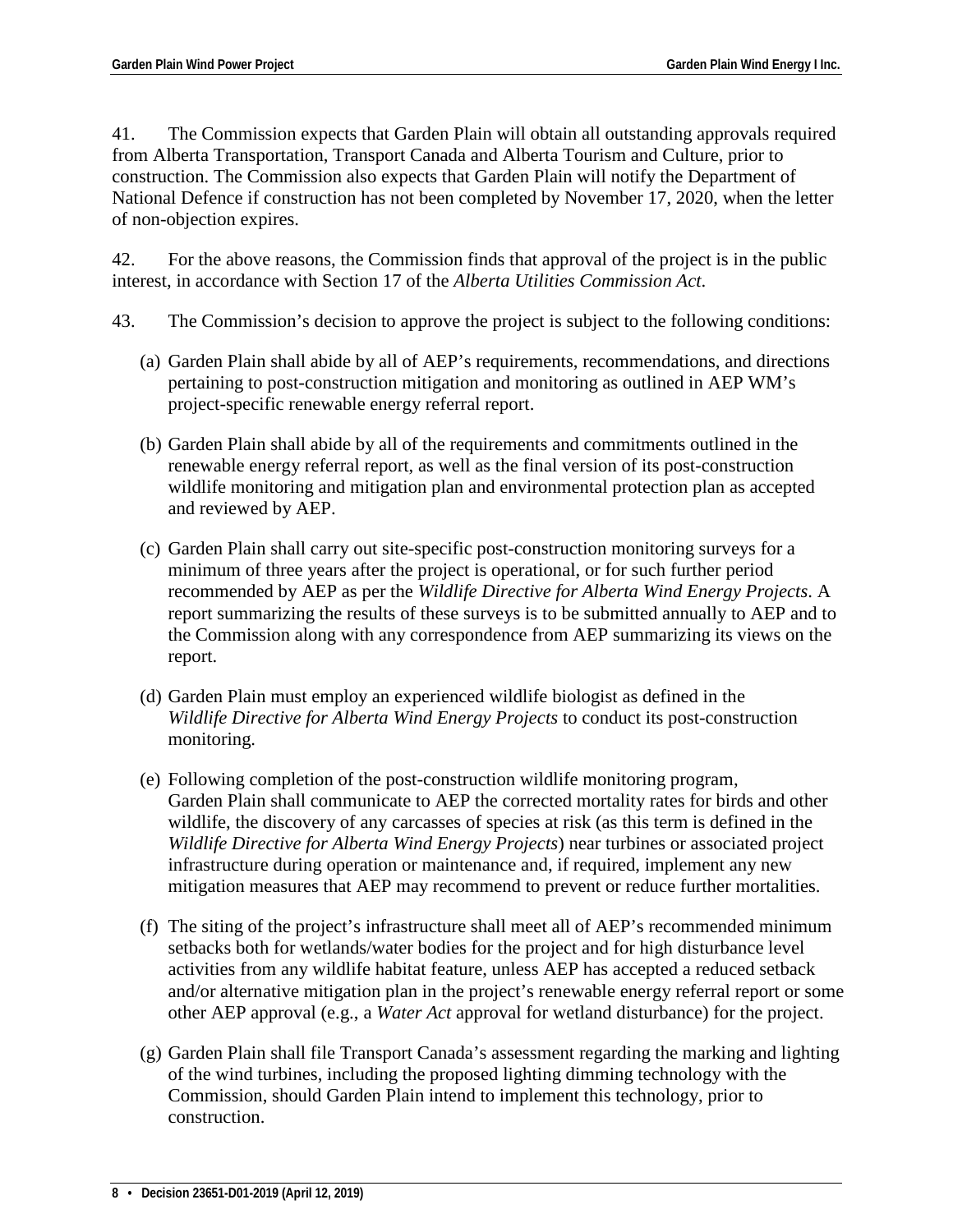41. The Commission expects that Garden Plain will obtain all outstanding approvals required from Alberta Transportation, Transport Canada and Alberta Tourism and Culture, prior to construction. The Commission also expects that Garden Plain will notify the Department of National Defence if construction has not been completed by November 17, 2020, when the letter of non-objection expires.

42. For the above reasons, the Commission finds that approval of the project is in the public interest, in accordance with Section 17 of the *Alberta Utilities Commission Act*.

- 43. The Commission's decision to approve the project is subject to the following conditions:
	- (a) Garden Plain shall abide by all of AEP's requirements, recommendations, and directions pertaining to post-construction mitigation and monitoring as outlined in AEP WM's project-specific renewable energy referral report.
	- (b) Garden Plain shall abide by all of the requirements and commitments outlined in the renewable energy referral report, as well as the final version of its post-construction wildlife monitoring and mitigation plan and environmental protection plan as accepted and reviewed by AEP.
	- (c) Garden Plain shall carry out site-specific post-construction monitoring surveys for a minimum of three years after the project is operational, or for such further period recommended by AEP as per the *Wildlife Directive for Alberta Wind Energy Projects*. A report summarizing the results of these surveys is to be submitted annually to AEP and to the Commission along with any correspondence from AEP summarizing its views on the report.
	- (d) Garden Plain must employ an experienced wildlife biologist as defined in the *Wildlife Directive for Alberta Wind Energy Projects* to conduct its post-construction monitoring.
	- (e) Following completion of the post-construction wildlife monitoring program, Garden Plain shall communicate to AEP the corrected mortality rates for birds and other wildlife, the discovery of any carcasses of species at risk (as this term is defined in the *Wildlife Directive for Alberta Wind Energy Projects*) near turbines or associated project infrastructure during operation or maintenance and, if required, implement any new mitigation measures that AEP may recommend to prevent or reduce further mortalities.
	- (f) The siting of the project's infrastructure shall meet all of AEP's recommended minimum setbacks both for wetlands/water bodies for the project and for high disturbance level activities from any wildlife habitat feature, unless AEP has accepted a reduced setback and/or alternative mitigation plan in the project's renewable energy referral report or some other AEP approval (e.g., a *Water Act* approval for wetland disturbance) for the project.
	- (g) Garden Plain shall file Transport Canada's assessment regarding the marking and lighting of the wind turbines, including the proposed lighting dimming technology with the Commission, should Garden Plain intend to implement this technology, prior to construction.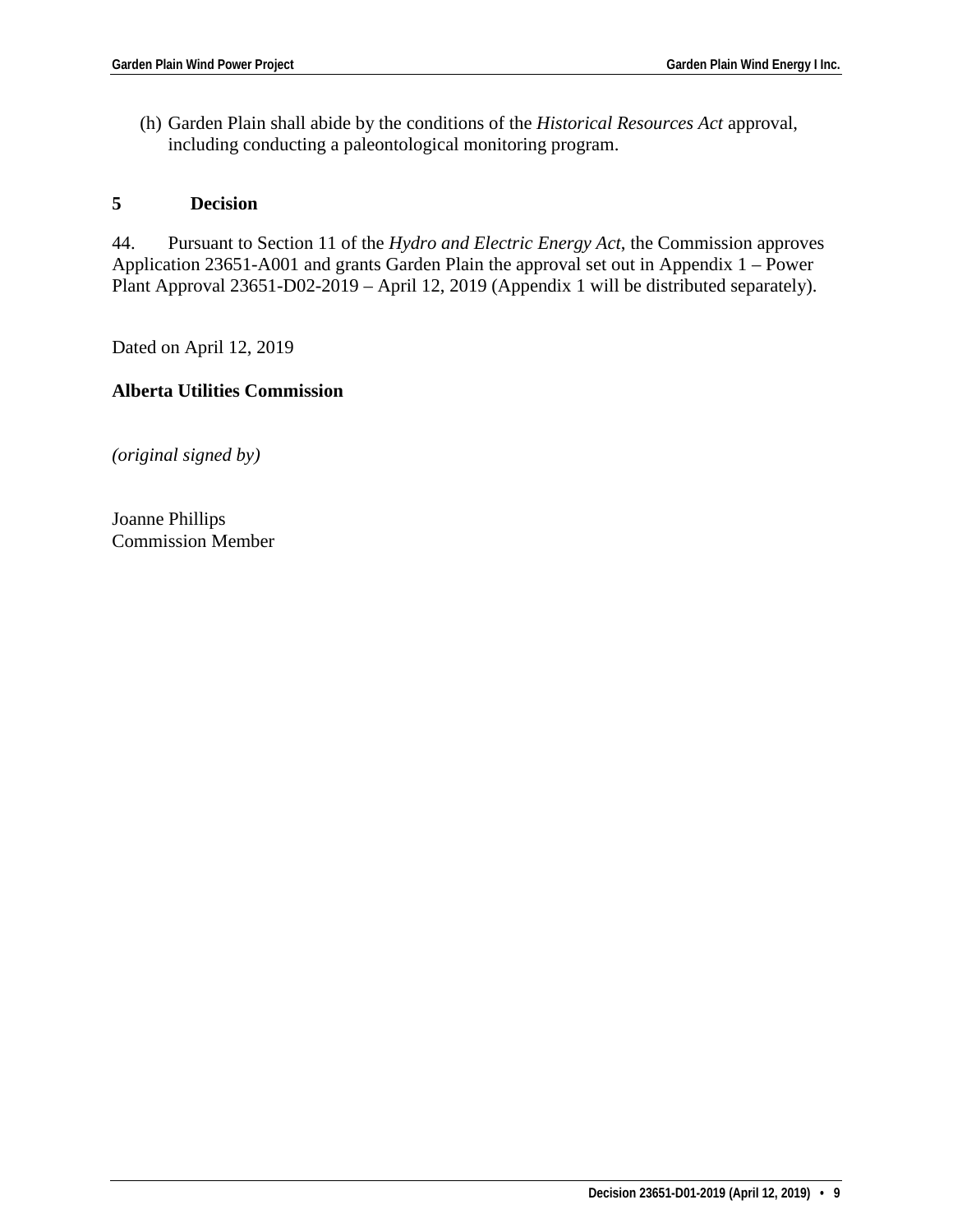(h) Garden Plain shall abide by the conditions of the *Historical Resources Act* approval, including conducting a paleontological monitoring program.

#### **5 Decision**

44. Pursuant to Section 11 of the *Hydro and Electric Energy Act*, the Commission approves Application 23651-A001 and grants Garden Plain the approval set out in Appendix 1 – Power Plant Approval 23651-D02-2019 – April 12, 2019 (Appendix 1 will be distributed separately).

Dated on April 12, 2019

# **Alberta Utilities Commission**

*(original signed by)*

Joanne Phillips Commission Member